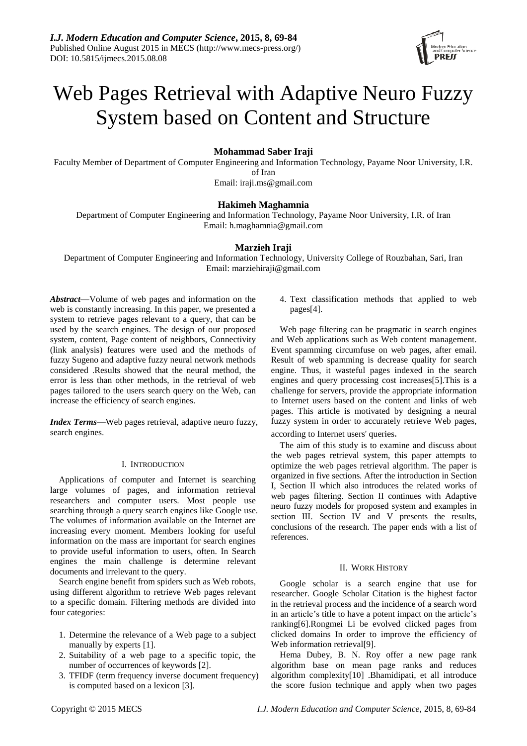

# Web Pages Retrieval with Adaptive Neuro Fuzzy System based on Content and Structure

# **Mohammad Saber Iraji**

Faculty Member of Department of Computer Engineering and Information Technology, Payame Noor University, I.R. of Iran

Email: iraji.ms@gmail.com

# **Hakimeh Maghamnia**

Department of Computer Engineering and Information Technology, Payame Noor University, I.R. of Iran Email: h.maghamnia@gmail.com

# **Marzieh Iraji**

Department of Computer Engineering and Information Technology, University College of Rouzbahan, Sari, Iran Email: marziehiraji@gmail.com

*Abstract*—Volume of web pages and information on the web is constantly increasing. In this paper, we presented a system to retrieve pages relevant to a query, that can be used by the search engines. The design of our proposed system, content, Page content of neighbors, Connectivity (link analysis) features were used and the methods of fuzzy Sugeno and adaptive fuzzy neural network methods considered .Results showed that the neural method, the error is less than other methods, in the retrieval of web pages tailored to the users search query on the Web, can increase the efficiency of search engines.

*Index Terms*—Web pages retrieval, adaptive neuro fuzzy, search engines.

### I. INTRODUCTION

Applications of computer and Internet is searching large volumes of pages, and information retrieval researchers and computer users. Most people use searching through a query search engines like Google use. The volumes of information available on the Internet are increasing every moment. Members looking for useful information on the mass are important for search engines to provide useful information to users, often. In Search engines the main challenge is determine relevant documents and irrelevant to the query.

Search engine benefit from spiders such as Web robots, using different algorithm to retrieve Web pages relevant to a specific domain. Filtering methods are divided into four categories:

- 1. Determine the relevance of a Web page to a subject manually by experts [1].
- 2. Suitability of a web page to a specific topic, the number of occurrences of keywords [2].
- 3. TFIDF (term frequency inverse document frequency) is computed based on a lexicon [3].

4. Text classification methods that applied to web pages[4].

Web page filtering can be pragmatic in search engines and Web applications such as Web content management. Event spamming circumfuse on web pages, after email. Result of web spamming is decrease quality for search engine. Thus, it wasteful pages indexed in the search engines and query processing cost increases[5].This is a challenge for servers, provide the appropriate information to Internet users based on the content and links of web pages. This article is motivated by designing a neural fuzzy system in order to accurately retrieve Web pages,

according to Internet users' queries.

The aim of this study is to examine and discuss about the web pages retrieval system, this paper attempts to optimize the web pages retrieval algorithm. The paper is organized in five sections. After the introduction in Section I, Section II which also introduces the related works of web pages filtering. Section II continues with Adaptive neuro fuzzy models for proposed system and examples in section III. Section IV and V presents the results, conclusions of the research. The paper ends with a list of references.

# II. WORK HISTORY

Google scholar is a search engine that use for researcher. Google Scholar Citation is the highest factor in the retrieval process and the incidence of a search word in an article's title to have a potent impact on the article's ranking[6].Rongmei Li be evolved clicked pages from clicked domains In order to improve the efficiency of Web information retrieval<sup>[9]</sup>.

Hema Dubey, B. N. Roy offer a new page rank algorithm base on mean page ranks and reduces algorithm complexity[10] .Bhamidipati, et all introduce the score fusion technique and apply when two pages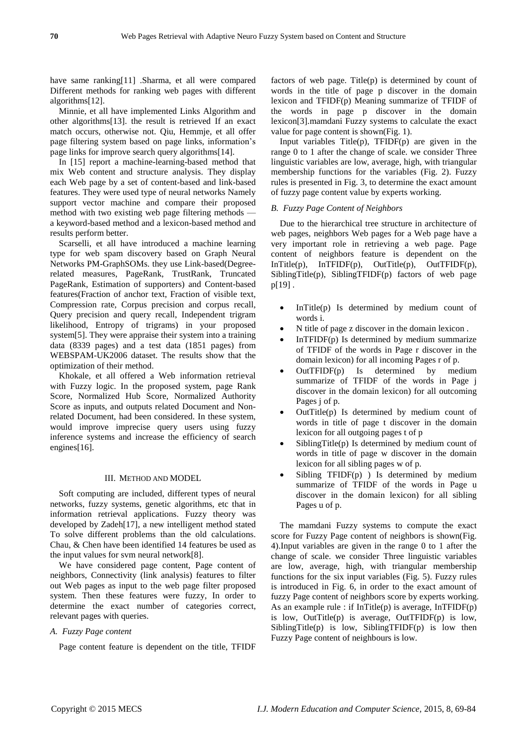have same ranking[11] .Sharma, et all were compared Different methods for ranking web pages with different algorithms[12].

Minnie, et all have implemented Links Algorithm and other algorithms[13]. the result is retrieved If an exact match occurs, otherwise not. Qiu, Hemmje, et all offer page filtering system based on page links, information's page links for improve search query algorithms[14].

In [15] report a machine-learning-based method that mix Web content and structure analysis. They display each Web page by a set of content-based and link-based features. They were used type of neural networks Namely support vector machine and compare their proposed method with two existing web page filtering methods a keyword-based method and a lexicon-based method and results perform better.

Scarselli, et all have introduced a machine learning type for web spam discovery based on Graph Neural Networks PM-GraphSOMs. they use Link-based(Degreerelated measures, PageRank, TrustRank, Truncated PageRank, Estimation of supporters) and Content-based features(Fraction of anchor text, Fraction of visible text, Compression rate, Corpus precision and corpus recall, Query precision and query recall, Independent trigram likelihood, Entropy of trigrams) in your proposed system[5]. They were appraise their system into a training data (8339 pages) and a test data (1851 pages) from WEBSPAM-UK2006 dataset. The results show that the optimization of their method.

Khokale, et all offered a Web information retrieval with Fuzzy logic. In the proposed system, page Rank Score, Normalized Hub Score, Normalized Authority Score as inputs, and outputs related Document and Nonrelated Document, had been considered. In these system, would improve imprecise query users using fuzzy inference systems and increase the efficiency of search engines[16].

### III. METHOD AND MODEL

Soft computing are included, different types of neural networks, fuzzy systems, genetic algorithms, etc that in information retrieval applications. Fuzzy theory was developed by Zadeh[17], a new intelligent method stated To solve different problems than the old calculations. Chau, & Chen have been identified 14 features be used as the input values for svm neural network[8].

We have considered page content, Page content of neighbors, Connectivity (link analysis) features to filter out Web pages as input to the web page filter proposed system. Then these features were fuzzy, In order to determine the exact number of categories correct, relevant pages with queries.

### *A. Fuzzy Page content*

Page content feature is dependent on the title, TFIDF

factors of web page. Title(p) is determined by count of words in the title of page p discover in the domain lexicon and TFIDF(p) Meaning summarize of TFIDF of the words in page p discover in the domain lexicon[3].mamdani Fuzzy systems to calculate the exact value for page content is shown(Fig. 1).

Input variables Title $(p)$ , TFIDF $(p)$  are given in the range 0 to 1 after the change of scale. we consider Three linguistic variables are low, average, high, with triangular membership functions for the variables (Fig. 2). Fuzzy rules is presented in Fig. 3, to determine the exact amount of fuzzy page content value by experts working.

# *B. Fuzzy Page Content of Neighbors*

Due to the hierarchical tree structure in architecture of web pages, neighbors Web pages for a Web page have a very important role in retrieving a web page. Page content of neighbors feature is dependent on the  $InTitle(p), InTFIDF(p), OutTitle(p), OutTFIDF(p),$ SiblingTitle(p), SiblingTFIDF(p) factors of web page p[19] .

- InTitle(p) Is determined by medium count of words i.
- N title of page z discover in the domain lexicon .
- InTFIDF(p) Is determined by medium summarize of TFIDF of the words in Page r discover in the domain lexicon) for all incoming Pages r of p.
- OutTFIDF(p) Is determined by medium summarize of TFIDF of the words in Page j discover in the domain lexicon) for all outcoming Pages j of p.
- OutTitle(p) Is determined by medium count of words in title of page t discover in the domain lexicon for all outgoing pages t of p
- SiblingTitle(p) Is determined by medium count of words in title of page w discover in the domain lexicon for all sibling pages w of p.
- Sibling  $TFIDF(p)$  ) Is determined by medium summarize of TFIDF of the words in Page u discover in the domain lexicon) for all sibling Pages u of p.

The mamdani Fuzzy systems to compute the exact score for Fuzzy Page content of neighbors is shown(Fig. 4).Input variables are given in the range 0 to 1 after the change of scale. we consider Three linguistic variables are low, average, high, with triangular membership functions for the six input variables (Fig. 5). Fuzzy rules is introduced in Fig. 6, in order to the exact amount of fuzzy Page content of neighbors score by experts working. As an example rule : if  $InTitle(p)$  is average,  $InTFIDF(p)$ is low, OutTitle(p) is average, OutTFIDF(p) is low,  $SiblingTitle(p)$  is low,  $SiblingTFIDF(p)$  is low then Fuzzy Page content of neighbours is low.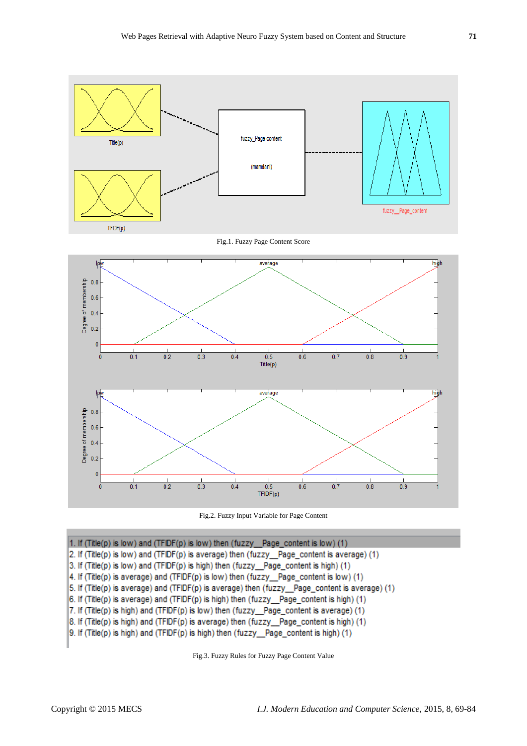

Fig.2. Fuzzy Input Variable for Page Content

1. If (Title(p) is low) and (TFIDF(p) is low) then (fuzzy Page content is low) (1)  $2.$  If (Title(p) is low) and (TFIDF(p) is average) then (fuzzy Page content is average) (1) 3. If (Title(p) is low) and (TFIDF(p) is high) then (fuzzy\_Page\_content is high) (1) 4. If (Title(p) is average) and (TFIDF(p) is low) then (fuzzy\_Page\_content is low) (1) 5. If (Title(p) is average) and (TFIDF(p) is average) then (fuzzy\_Page\_content is average) (1)  $|6.$  If (Title(p) is average) and (TFIDF(p) is high) then (fuzzy Page content is high) (1) 7. If (Title(p) is high) and (TFIDF(p) is low) then (fuzzy\_Page\_content is average) (1)  $\vert$ 8. If (Title(p) is high) and (TFIDF(p) is average) then (fuzzy Page content is high) (1) 9. If (Title(p) is high) and (TFIDF(p) is high) then (fuzzy\_Page\_content is high) (1)

Fig.3. Fuzzy Rules for Fuzzy Page Content Value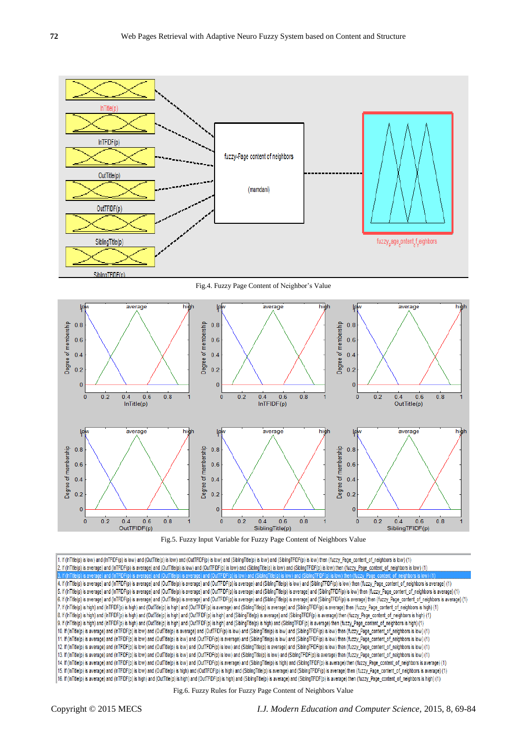![](_page_3_Figure_1.jpeg)

Fig.4. Fuzzy Page Content of Neighbor's Value

![](_page_3_Figure_3.jpeg)

![](_page_3_Figure_4.jpeg)

1. If (InTitle(p) is low) and (InTFDF(p) is low) and (OutTitle(p) is low) and (OutTFDF(p) is low) and (SiblingTitle(p) is low) and (SiblingTitle(p) is low) then (fuzzy Page content of neighbors is low) (1) 2. If (InTitle(p) is average) and (InTFIDF(p) is average) and (OutTitle(p) is low) and (OutTFIDF(p) is low) and (SiblingTitle(p) is low) and (SiblingTFIDF(p) is low) then (fuzzy\_Page\_content\_of\_neighbors is low) (1) 4. If (InTitle(p) is average) and (InTFIDF(p) is average) and (OutTitle(p) is average) and (OutTFIDF(p) is average) and (SiblingTitle(p) is low) and (SiblingTFIDF(p) is low) and (SiblingTFIDF(p) is low) then (fuzzy\_Page\_co 5. If (InTitle(p) is average) and (InTFIDF(p) is average) and (OutTitle(p) is average) and (OutTFIDF(p) is average) and (SiblingTitle(p) is average) and (SiblingTitle(p) is average) and (SiblingTitle(p) is average) and (Si 6. If (InTitle(p) is average) and (InTFIDF(p) is average) and (OutTitle(p) is average) and (OutTFIDF(p) is average) and (SiblingTitle(p) is average) and (SiblingTFIDF(p) is average) and (SiblingTFIDF(p) is average) and (Si 7. If (InTitle(p) is high) and (InTFIDF(p) is high) and (OutTitle(p) is high) and (OutTFIDF(p) is average) and (SiblingTitle(p) is average) and (SiblingTFIDF(p) is average) and (SiblingTFIDF(p) is average) and (SiblingTFID 8. If (InTitle(p) is high) and (InTFIDF(p) is high) and (OutTitle(p) is high) and (OutTFIDF(p) is high) and (SiblingTitle(p) is average) and (SiblingTFIDF(p) is average) then (fuzzy\_Page\_content\_of\_neighbors is high) (1) 9. If (InTitle(p) is high) and (InTFIDF(p) is high) and (OutTitle(p) is high) and (OutTFIDF(p) is high) and (SiblingTitle(p) is high) and (SiblingTFIDF(p) is average) then (fuzzy\_Page\_content\_of\_neighbors is high) (1) 10. If (InTitle(p) is average) and (InTFIDF(p) is low) and (OutTitle(p) is average) and (OutTFIDF(p) is low) and (SiblingTitle(p) is low) and (SiblingTiFIDF(p) is low) then (fuzzy\_Page\_content\_of\_neighbors is low) (1) 11. If (InTitle(p) is average) and (InTFIDF(p) is low) and (OutTitle(p) is low) and (OutTFIDF(p) is average) and (SiblingTitle(p) is low) and (SiblingTFIDF(p) is low) then (fuzzy Page content of neighbors is low) (1) 12. If (InTitle(p) is average) and (InTFDF(p) is low) and (OutTitle(p) is low) and (OutTFDF(p) is low) and (SiblingTitle(p) is average) and (SiblingTFDF(p) is low) then (fuzzy\_Page\_content\_of\_neighbors is low) (1) 13. If (InTitle(p) is average) and (InTFDF(p) is low) and (OutTitle(p) is low) and (OutTFIDF(p) is low) and (SiblingTitle(p) is low) and (SiblingTFIDF(p) is average) then (fuzzy\_Page\_content\_of\_neighbors is low) (1) 14. If (InTitle(p) is average) and (InTFIDF(p) is low) and (OutTitle(p) is low) and (OutTFIDF(p) is average) and (SiblingTitle(p) is high) and (SiblingTFIDF(p) is average) then (fuzzy\_Page\_content\_of\_neighbors is average) 15. If (InTitle(p) is average) and (InTFIDF(p) is low) and (OutTitle(p) is high) and (OutTFIDF(p) is high) and (SiblingTitle(p) is average) and (SiblingTFIDF(p) is average) then (fuzzy\_Page\_content\_of\_neighbors is average) 16. If (InTitle(p) is average) and (InTFIDF(p) is high) and (OutTitle(p) is high) and (OutTFIDF(p) is high) and (SiblingTitle(p) is average) and (SiblingTFIDF(p) is average) and (SiblingTFIDF(p) is average) then (fuzzy\_Pag

Fig.6. Fuzzy Rules for Fuzzy Page Content of Neighbors Value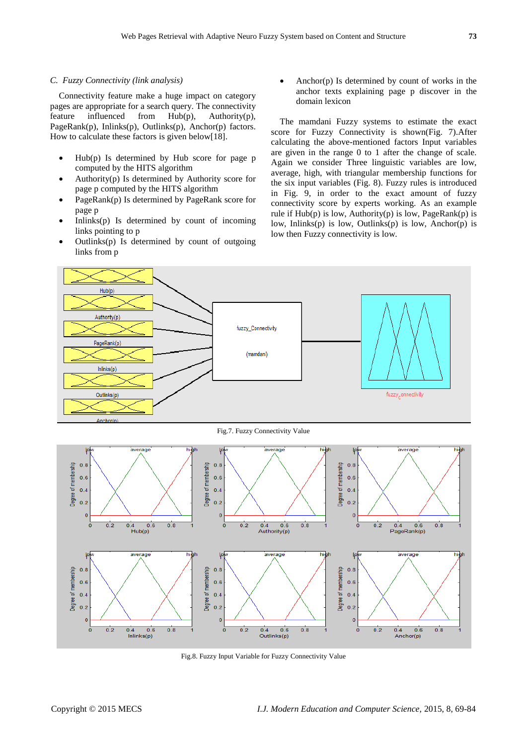#### *C. Fuzzy Connectivity (link analysis)*

Connectivity feature make a huge impact on category pages are appropriate for a search query. The connectivity feature influenced from Hub(p), Authority(p), PageRank(p), Inlinks(p), Outlinks(p), Anchor(p) factors. How to calculate these factors is given below[18].

- Hub(p) Is determined by Hub score for page p computed by the HITS algorithm
- Authority(p) Is determined by Authority score for page p computed by the HITS algorithm
- PageRank(p) Is determined by PageRank score for page p
- Inlinks(p) Is determined by count of incoming links pointing to p
- Outlinks $(p)$  Is determined by count of outgoing links from p

 Anchor(p) Is determined by count of works in the anchor texts explaining page p discover in the domain lexicon

The mamdani Fuzzy systems to estimate the exact score for Fuzzy Connectivity is shown(Fig. 7).After calculating the above-mentioned factors Input variables are given in the range 0 to 1 after the change of scale. Again we consider Three linguistic variables are low, average, high, with triangular membership functions for the six input variables (Fig. 8). Fuzzy rules is introduced in Fig. 9, in order to the exact amount of fuzzy connectivity score by experts working. As an example rule if  $Hub(p)$  is low, Authority(p) is low, PageRank(p) is low, Inlinks(p) is low, Outlinks(p) is low, Anchor(p) is low then Fuzzy connectivity is low.

![](_page_4_Figure_10.jpeg)

Fig.8. Fuzzy Input Variable for Fuzzy Connectivity Value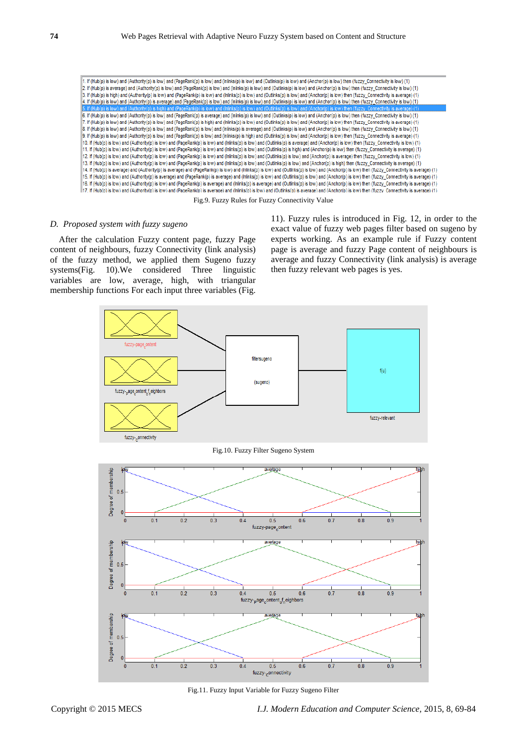![](_page_5_Figure_1.jpeg)

#### *D. Proposed system with fuzzy sugeno*

After the calculation Fuzzy content page, fuzzy Page content of neighbours, fuzzy Connectivity (link analysis) of the fuzzy method, we applied them Sugeno fuzzy systems(Fig. 10).We considered Three linguistic variables are low, average, high, with triangular membership functions For each input three variables (Fig.

11). Fuzzy rules is introduced in Fig. 12, in order to the exact value of fuzzy web pages filter based on sugeno by experts working. As an example rule if Fuzzy content page is average and fuzzy Page content of neighbours is average and fuzzy Connectivity (link analysis) is average then fuzzy relevant web pages is yes.

![](_page_5_Figure_5.jpeg)

Fig.11. Fuzzy Input Variable for Fuzzy Sugeno Filter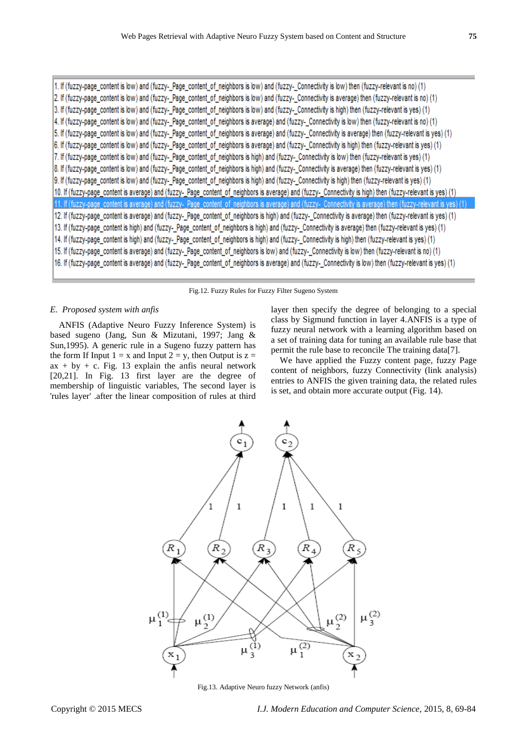1. If (fuzzy-page content is low) and (fuzzy- Page content of neighbors is low) and (fuzzy- Connectivity is low) then (fuzzy-relevant is no) (1) 2. If (fuzzy-page\_content is low) and (fuzzy-\_Page\_content\_of\_neighbors is low) and (fuzzy-\_Connectivity is average) then (fuzzy-relevant is no) (1) 3. If (fuzzy-page\_content is low) and (fuzzy-\_Page\_content\_of\_neighbors is low) and (fuzzy-\_Connectivity is high) then (fuzzy-relevant is yes) (1) 4. If (fuzzy-page content is low) and (fuzzy- Page content of neighbors is average) and (fuzzy- Connectivity is low) then (fuzzy-relevant is no) (1) 5. If (fuzzy-page content is low) and (fuzzy- Page content of neighbors is average) and (fuzzy- Connectivity is average) then (fuzzy-relevant is yes) (1) 6. If (fuzzy-page\_content is low) and (fuzzy-\_Page\_content\_of\_neighbors is average) and (fuzzy-\_Connectivity is high) then (fuzzy-relevant is yes) (1) 7. If (fuzzy-page content is low) and (fuzzy- Page content of neighbors is high) and (fuzzy- Connectivity is low) then (fuzzy-relevant is yes) (1) 8. If (fuzzy-page\_content is low) and (fuzzy-\_Page\_content\_of\_neighbors is high) and (fuzzy-\_Connectivity is average) then (fuzzy-relevant is yes) (1) 9. If (fuzzy-page\_content is low) and (fuzzy-\_Page\_content\_of\_neighbors is high) and (fuzzy-\_Connectivity is high) then (fuzzy-relevant is yes) (1) 10. If (fuzzy-page\_content is average) and (fuzzy- Page\_content\_of\_neighbors is average) and (fuzzy- Connectivity is high) then (fuzzy-relevant is yes) (1) 11. If (fuzzy-page content is average) and (fuzzy- Page content of neighbors is average) and (fuzzy- Connectivity is average) then (fuzzy-relevant is yes) (1 12. If (fuzzy-page content is average) and (fuzzy- Page content of neighbors is high) and (fuzzy- Connectivity is average) then (fuzzy-relevant is yes) (1) 13. If (fuzzy-page\_content is high) and (fuzzy-\_Page\_content\_of\_neighbors is high) and (fuzzy-\_Connectivity is average) then (fuzzy-relevant is yes) (1) 14. If (fuzzy-page\_content is high) and (fuzzy-\_Page\_content\_of\_neighbors is high) and (fuzzy-\_Connectivity is high) then (fuzzy-relevant is yes) (1) 15. If (fuzzy-page content is average) and (fuzzy-Page content of neighbors is low) and (fuzzy-Connectivity is low) then (fuzzy-relevant is no) (1) 16. If (fuzzy-page content is average) and (fuzzy- Page content of neighbors is average) and (fuzzy- Connectivity is low) then (fuzzy-relevant is yes) (1)

Fig.12. Fuzzy Rules for Fuzzy Filter Sugeno System

# *E. Proposed system with anfis*

ANFIS (Adaptive Neuro Fuzzy Inference System) is based sugeno (Jang, Sun & Mizutani, 1997; Jang & Sun,1995). A generic rule in a Sugeno fuzzy pattern has the form If Input  $1 = x$  and Input  $2 = y$ , then Output is  $z =$  $ax + by + c$ . Fig. 13 explain the anfis neural network [20,21]. In Fig. 13 first layer are the degree of membership of linguistic variables, The second layer is 'rules layer' .after the linear composition of rules at third layer then specify the degree of belonging to a special class by Sigmund function in layer 4.ANFIS is a type of fuzzy neural network with a learning algorithm based on a set of training data for tuning an available rule base that permit the rule base to reconcile The training data[7].

We have applied the Fuzzy content page, fuzzy Page content of neighbors, fuzzy Connectivity (link analysis) entries to ANFIS the given training data, the related rules is set, and obtain more accurate output (Fig. 14).

![](_page_6_Figure_7.jpeg)

Fig.13. Adaptive Neuro fuzzy Network (anfis)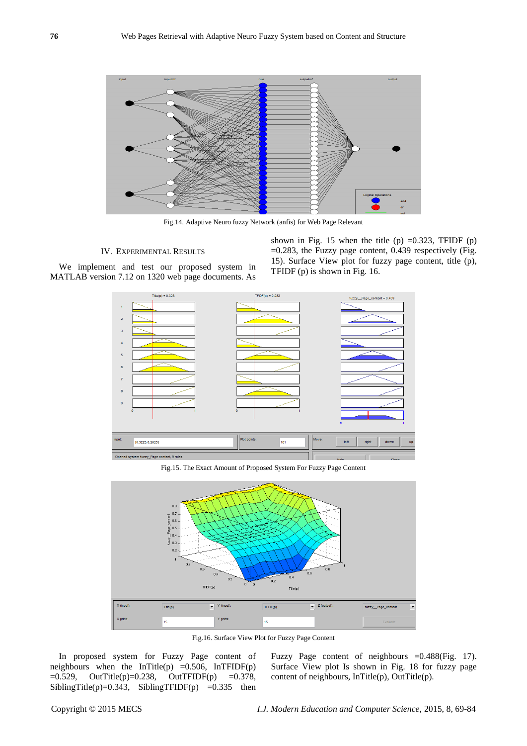![](_page_7_Figure_1.jpeg)

Fig.14. Adaptive Neuro fuzzy Network (anfis) for Web Page Relevant

# IV. EXPERIMENTAL RESULTS

We implement and test our proposed system in MATLAB version 7.12 on 1320 web page documents. As shown in Fig. 15 when the title (p)  $=0.323$ , TFIDF (p)  $=0.283$ , the Fuzzy page content, 0.439 respectively (Fig. 15). Surface View plot for fuzzy page content, title (p), TFIDF (p) is shown in Fig. 16.

![](_page_7_Figure_6.jpeg)

Fig.15. The Exact Amount of Proposed System For Fuzzy Page Content

![](_page_7_Figure_8.jpeg)

Fig.16. Surface View Plot for Fuzzy Page Content

In proposed system for Fuzzy Page content of neighbours when the InTitle(p)  $=0.506$ , InTFIDF(p)  $=0.529$ , OutTitle(p) $=0.238$ , OutTFIDF(p)  $=0.378$ , SiblingTitle(p)= $0.343$ , SiblingTFIDF(p) = $0.335$  then Fuzzy Page content of neighbours =0.488(Fig. 17). Surface View plot Is shown in Fig. 18 for fuzzy page content of neighbours, InTitle(p), OutTitle(p).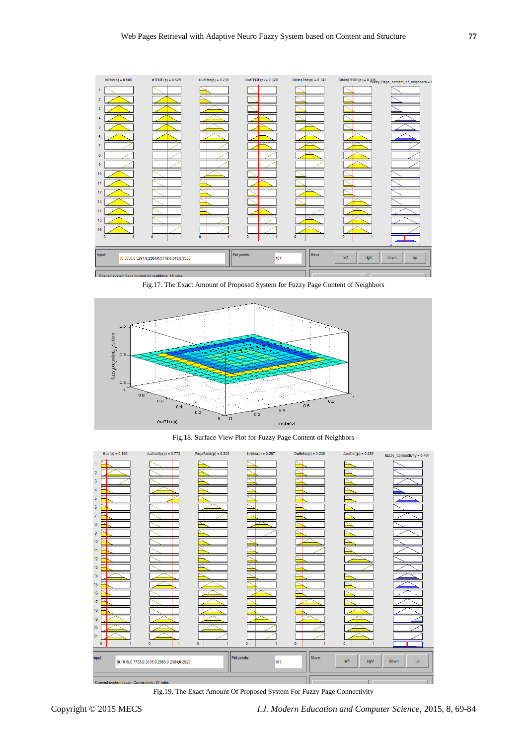![](_page_8_Figure_1.jpeg)

Fig.17. The Exact Amount of Proposed System for Fuzzy Page Content of Neighbors

![](_page_8_Figure_3.jpeg)

Fig.18. Surface View Plot for Fuzzy Page Content of Neighbors

![](_page_8_Figure_5.jpeg)

Fig.19. The Exact Amount Of Proposed System For Fuzzy Page Connectivity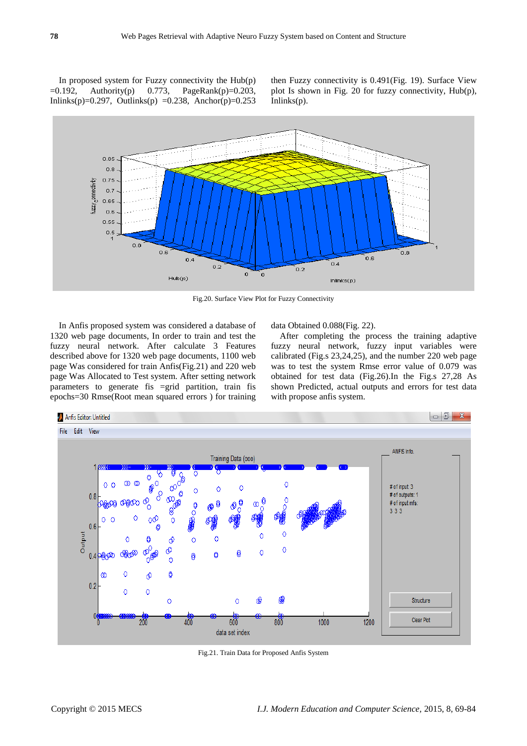In proposed system for Fuzzy connectivity the  $H_{\text{ub}}(p)$  $=0.192$ , Authority(p) 0.773, PageRank(p)=0.203, Inlinks(p)=0.297, Outlinks(p) =0.238, Anchor(p)=0.253 then Fuzzy connectivity is 0.491(Fig. 19). Surface View plot Is shown in Fig. 20 for fuzzy connectivity, Hub(p),  $Inlinks(p)$ .

![](_page_9_Figure_3.jpeg)

Fig.20. Surface View Plot for Fuzzy Connectivity

In Anfis proposed system was considered a database of 1320 web page documents, In order to train and test the fuzzy neural network. After calculate 3 Features described above for 1320 web page documents, 1100 web page Was considered for train Anfis(Fig.21) and 220 web page Was Allocated to Test system. After setting network parameters to generate fis =grid partition, train fis epochs=30 Rmse(Root mean squared errors ) for training

data Obtained 0.088(Fig. 22).

After completing the process the training adaptive fuzzy neural network, fuzzy input variables were calibrated (Fig.s 23,24,25), and the number 220 web page was to test the system Rmse error value of 0.079 was obtained for test data (Fig.26).In the Fig.s 27,28 As shown Predicted, actual outputs and errors for test data with propose anfis system.

![](_page_9_Figure_8.jpeg)

Fig.21. Train Data for Proposed Anfis System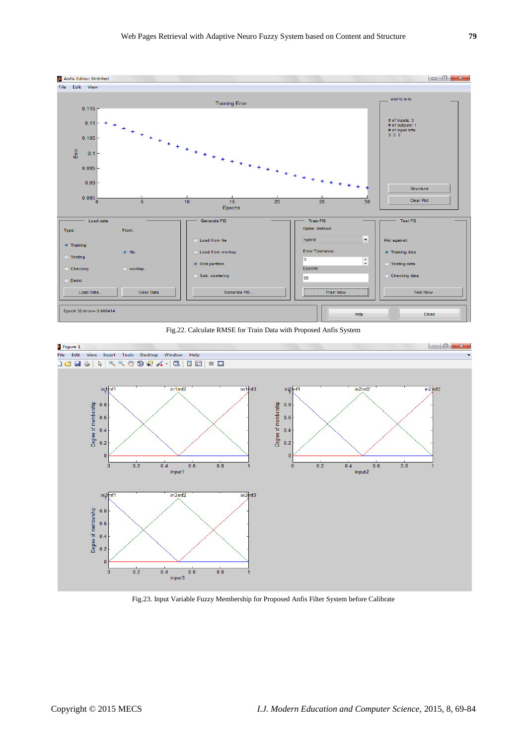![](_page_10_Figure_1.jpeg)

Fig.22. Calculate RMSE for Train Data with Proposed Anfis System

![](_page_10_Figure_3.jpeg)

Fig.23. Input Variable Fuzzy Membership for Proposed Anfis Filter System before Calibrate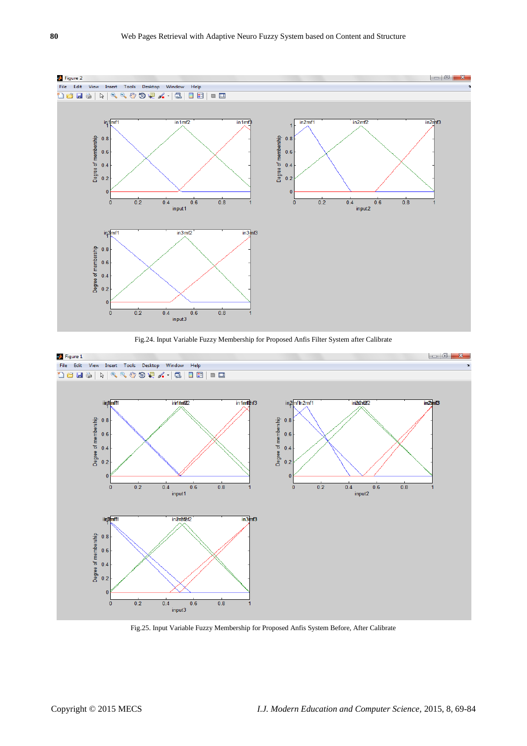![](_page_11_Figure_1.jpeg)

Fig.24. Input Variable Fuzzy Membership for Proposed Anfis Filter System after Calibrate

![](_page_11_Figure_3.jpeg)

Fig.25. Input Variable Fuzzy Membership for Proposed Anfis System Before, After Calibrate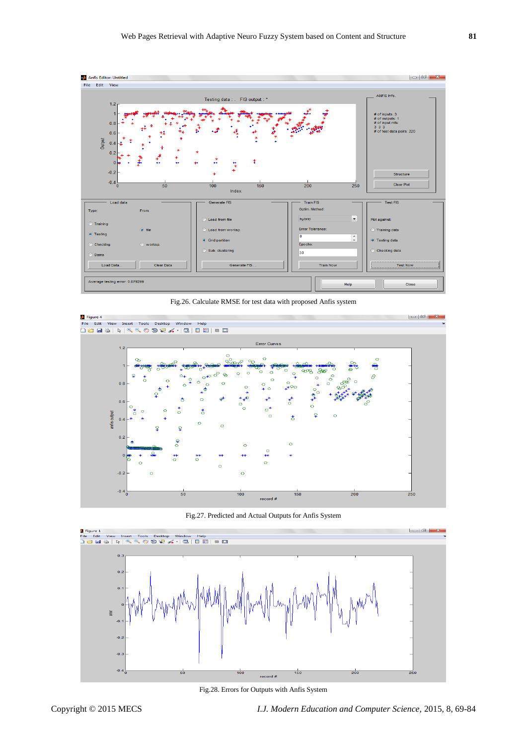![](_page_12_Figure_1.jpeg)

Fig.26. Calculate RMSE for test data with proposed Anfis system

![](_page_12_Figure_3.jpeg)

Fig.27. Predicted and Actual Outputs for Anfis System

![](_page_12_Figure_5.jpeg)

Fig.28. Errors for Outputs with Anfis System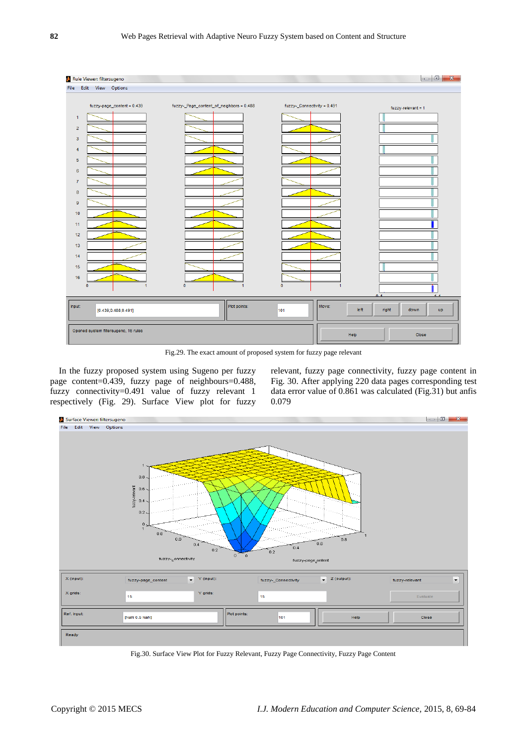![](_page_13_Figure_1.jpeg)

Fig.29. The exact amount of proposed system for fuzzy page relevant

In the fuzzy proposed system using Sugeno per fuzzy page content=0.439, fuzzy page of neighbours=0.488, fuzzy connectivity=0.491 value of fuzzy relevant 1 respectively (Fig. 29). Surface View plot for fuzzy relevant, fuzzy page connectivity, fuzzy page content in Fig. 30. After applying 220 data pages corresponding test data error value of 0.861 was calculated (Fig.31) but anfis 0.079

![](_page_13_Figure_5.jpeg)

Fig.30. Surface View Plot for Fuzzy Relevant, Fuzzy Page Connectivity, Fuzzy Page Content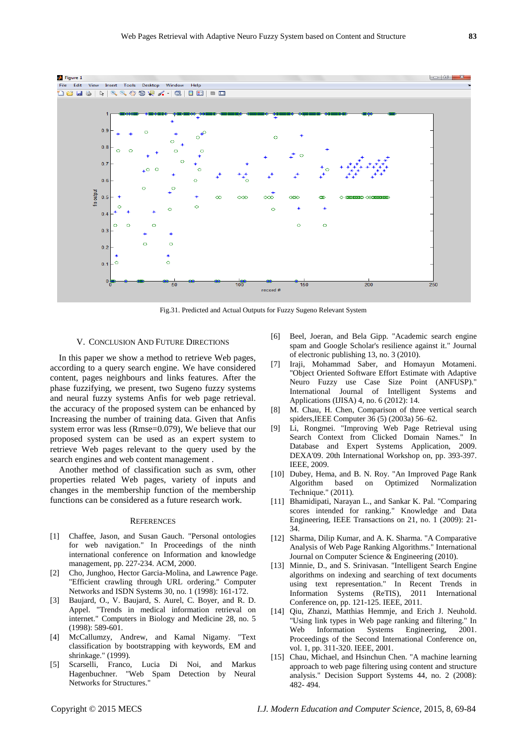![](_page_14_Figure_1.jpeg)

Fig.31. Predicted and Actual Outputs for Fuzzy Sugeno Relevant System

#### V. CONCLUSION AND FUTURE DIRECTIONS

In this paper we show a method to retrieve Web pages, according to a query search engine. We have considered content, pages neighbours and links features. After the phase fuzzifying, we present, two Sugeno fuzzy systems and neural fuzzy systems Anfis for web page retrieval. the accuracy of the proposed system can be enhanced by Increasing the number of training data. Given that Anfis system error was less (Rmse=0.079), We believe that our proposed system can be used as an expert system to retrieve Web pages relevant to the query used by the search engines and web content management .

Another method of classification such as svm, other properties related Web pages, variety of inputs and changes in the membership function of the membership functions can be considered as a future research work.

#### **REFERENCES**

- [1] Chaffee, Jason, and Susan Gauch. "Personal ontologies for web navigation." In Proceedings of the ninth international conference on Information and knowledge management, pp. 227-234. ACM, 2000.
- [2] Cho, Junghoo, Hector Garcia-Molina, and Lawrence Page. "Efficient crawling through URL ordering." Computer Networks and ISDN Systems 30, no. 1 (1998): 161-172.
- [3] Baujard, O., V. Baujard, S. Aurel, C. Boyer, and R. D. Appel. "Trends in medical information retrieval on internet." Computers in Biology and Medicine 28, no. 5 (1998): 589-601.
- [4] McCallumzy, Andrew, and Kamal Nigamy. "Text classification by bootstrapping with keywords, EM and shrinkage." (1999).
- [5] Scarselli, Franco, Lucia Di Noi, and Markus Hagenbuchner. "Web Spam Detection by Neural Networks for Structures."
- [6] Beel, Joeran, and Bela Gipp. "Academic search engine spam and Google Scholar's resilience against it." Journal of electronic publishing 13, no. 3 (2010).
- [7] Iraji, Mohammad Saber, and Homayun Motameni. "Object Oriented Software Effort Estimate with Adaptive Neuro Fuzzy use Case Size Point (ANFUSP)." International Journal of Intelligent Systems and Applications (IJISA) 4, no. 6 (2012): 14.
- M. Chau, H. Chen, Comparison of three vertical search spiders,IEEE Computer 36 (5) (2003a) 56–62.
- [9] Li, Rongmei. "Improving Web Page Retrieval using Search Context from Clicked Domain Names." In Database and Expert Systems Application, 2009. DEXA'09. 20th International Workshop on, pp. 393-397. IEEE, 2009.
- [10] Dubey, Hema, and B. N. Roy. "An Improved Page Rank Algorithm based on Optimized Normalization Technique." (2011).
- [11] Bhamidipati, Narayan L., and Sankar K. Pal. "Comparing scores intended for ranking." Knowledge and Data Engineering, IEEE Transactions on 21, no. 1 (2009): 21- 34.
- [12] Sharma, Dilip Kumar, and A. K. Sharma. "A Comparative Analysis of Web Page Ranking Algorithms." International Journal on Computer Science & Engineering (2010).
- [13] Minnie, D., and S. Srinivasan. "Intelligent Search Engine algorithms on indexing and searching of text documents using text representation." In Recent Trends in Information Systems (ReTIS), 2011 International Conference on, pp. 121-125. IEEE, 2011.
- [14] Qiu, Zhanzi, Matthias Hemmje, and Erich J. Neuhold. "Using link types in Web page ranking and filtering." In Web Information Systems Engineering, 2001. Proceedings of the Second International Conference on, vol. 1, pp. 311-320. IEEE, 2001.
- [15] Chau, Michael, and Hsinchun Chen. "A machine learning approach to web page filtering using content and structure analysis." Decision Support Systems 44, no. 2 (2008): 482- 494.